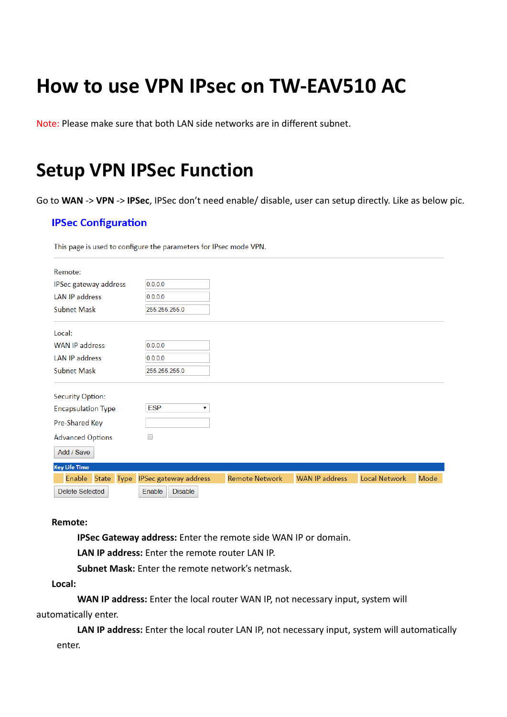# **How to use VPN IPsec on TW-EAV510 AC**

Note: Please make sure that both LAN side networks are in different subnet.

### **Setup VPN IPSec Function**

Go to WAN -> VPN -> IPSec, IPSec don't need enable/ disable, user can setup directly. Like as below pic.

#### **IPSec Configuration**

This page is used to configure the parameters for IPsec mode VPN.

| Remote:                   |                              |                       |                       |                      |      |
|---------------------------|------------------------------|-----------------------|-----------------------|----------------------|------|
| IPSec gateway address     | 0.0.0.0                      |                       |                       |                      |      |
| <b>LAN IP address</b>     | 0.0.0.0                      |                       |                       |                      |      |
| <b>Subnet Mask</b>        | 255.255.255.0                |                       |                       |                      |      |
| Local:                    |                              |                       |                       |                      |      |
| <b>WAN IP address</b>     | 0.0.0.0                      |                       |                       |                      |      |
| <b>LAN IP address</b>     | 0.0.0.0                      |                       |                       |                      |      |
| <b>Subnet Mask</b>        | 255.255.255.0                |                       |                       |                      |      |
| <b>Security Option:</b>   |                              |                       |                       |                      |      |
| <b>Encapsulation Type</b> | <b>ESP</b><br>▼              |                       |                       |                      |      |
| Pre-Shared Key            |                              |                       |                       |                      |      |
| <b>Advanced Options</b>   |                              |                       |                       |                      |      |
| Add / Save                |                              |                       |                       |                      |      |
| <b>Key Life Time</b>      |                              |                       |                       |                      |      |
| Enable<br>State Type      | <b>IPSec gateway address</b> | <b>Remote Network</b> | <b>WAN IP address</b> | <b>Local Network</b> | Mode |
| <b>Delete Selected</b>    | Enable<br><b>Disable</b>     |                       |                       |                      |      |

#### **Remote:**

**IPSec Gateway address:** Enter the remote side WAN IP or domain.

**LAN IP address:** Enter the remote router LAN IP.

**Subnet Mask:** Enter the remote network's netmask.

**Local:** 

**WAN IP address:** Enter the local router WAN IP, not necessary input, system will automatically enter.

**LAN IP address:** Enter the local router LAN IP, not necessary input, system will automatically enter.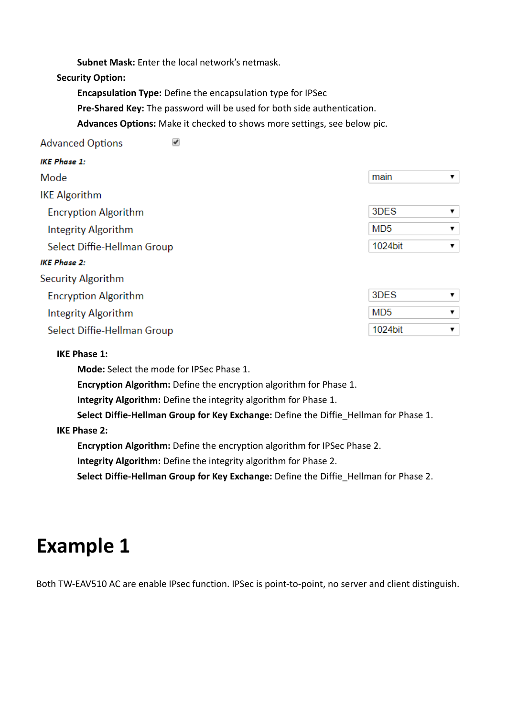**Subnet Mask:** Enter the local network's netmask.

 $\blacktriangledown$ 

**Security Option:**

**Encapsulation Type:** Define the encapsulation type for IPSec

**Pre-Shared Key:** The password will be used for both side authentication.

**Advances Options:** Make it checked to shows more settings, see below pic.

#### **Advanced Options**

| <b>IKE Phase 1:</b>         |                      |
|-----------------------------|----------------------|
| Mode                        | main<br>▼            |
| <b>IKE Algorithm</b>        |                      |
| <b>Encryption Algorithm</b> | 3DES<br>▼            |
| <b>Integrity Algorithm</b>  | MD <sub>5</sub><br>▼ |
| Select Diffie-Hellman Group | 1024bit<br>▼         |
| <b>IKE Phase 2:</b>         |                      |
| Security Algorithm          |                      |
| <b>Encryption Algorithm</b> | 3DES<br>▼            |
| Integrity Algorithm         | MD <sub>5</sub><br>▼ |
| Select Diffie-Hellman Group | 1024bit<br>7         |

#### **IKE Phase 1:**

**Mode:** Select the mode for IPSec Phase 1.

**Encryption Algorithm:** Define the encryption algorithm for Phase 1.

**Integrity Algorithm:** Define the integrity algorithm for Phase 1.

**Select Diffie-Hellman Group for Key Exchange:** Define the Diffie Hellman for Phase 1.

**IKE Phase 2:** 

**Encryption Algorithm:** Define the encryption algorithm for IPSec Phase 2.

**Integrity Algorithm:** Define the integrity algorithm for Phase 2.

**Select Diffie-Hellman Group for Key Exchange:** Define the Diffie\_Hellman for Phase 2.

## **Example 1**

Both TW-EAV510 AC are enable IPsec function. IPSec is point-to-point, no server and client distinguish.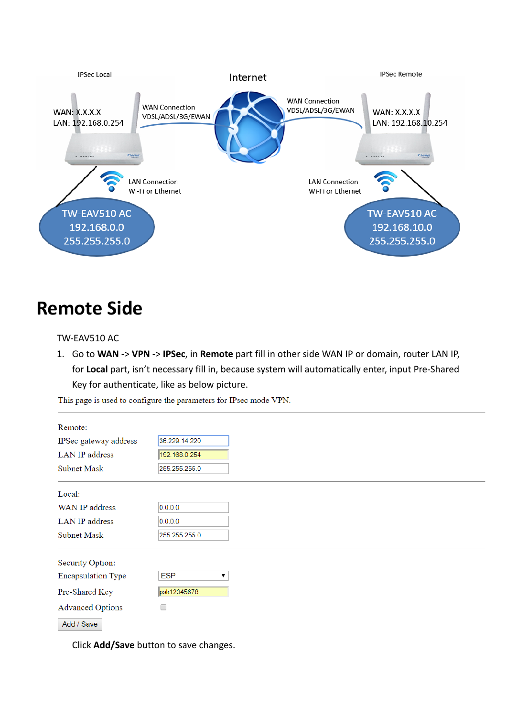

### **Remote Side**

#### TW-EAV510 AC

1. Go to WAN -> VPN -> IPSec, in Remote part fill in other side WAN IP or domain, router LAN IP, for Local part, isn't necessary fill in, because system will automatically enter, input Pre-Shared Key for authenticate, like as below picture.

This page is used to configure the parameters for IPsec mode VPN.

| Remote:                   |               |
|---------------------------|---------------|
| IPSec gateway address     | 36.229.14.220 |
| LAN IP address            | 192.168.0.254 |
| Subnet Mask               | 255.255.255.0 |
| Local:                    |               |
| WAN IP address            | 0.0.0.0       |
| LAN IP address            | 0.0.0.0       |
| Subnet Mask               | 255.255.255.0 |
| Security Option:          |               |
| <b>Encapsulation Type</b> | <b>ESP</b>    |
| Pre-Shared Key            | psk12345678   |
| <b>Advanced Options</b>   | □             |
| Add / Save                |               |

Click **Add/Save** button to save changes.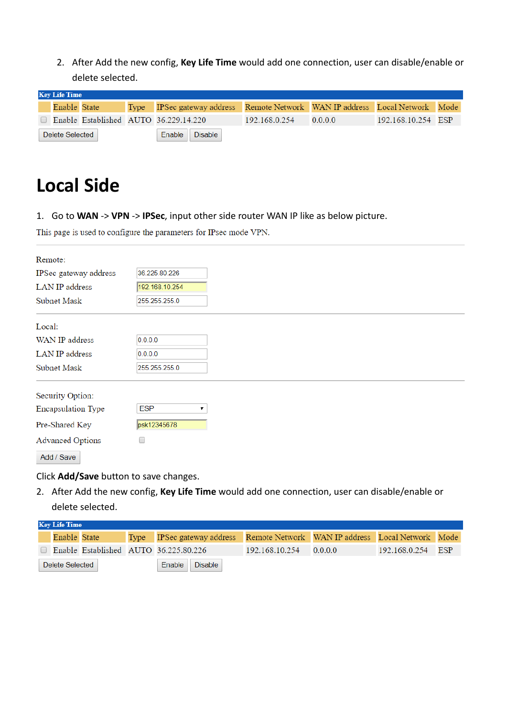2. After Add the new config, Key Life Time would add one connection, user can disable/enable or delete selected.

| <b>Key Life Time</b> |              |  |  |                                                                             |               |         |                    |  |  |
|----------------------|--------------|--|--|-----------------------------------------------------------------------------|---------------|---------|--------------------|--|--|
|                      | Enable State |  |  | Type IPSec gateway address Remote Network WAN IP address Local Network Mode |               |         |                    |  |  |
|                      |              |  |  | Enable Established AUTO 36.229.14.220                                       | 192.168.0.254 | 0.0.0.0 | 192.168.10.254 ESP |  |  |
| Delete Selected      |              |  |  | Enable Disable                                                              |               |         |                    |  |  |

## **Local Side**

1. Go to **WAN** -> **VPN** -> **IPSec**, input other side router WAN IP like as below picture.

This page is used to configure the parameters for IPsec mode VPN.

| Remote:                   |                 |
|---------------------------|-----------------|
| IPSec gateway address     | 36.225.80.226   |
| <b>LAN IP</b> address     | 192.168.10.254  |
| Subnet Mask               | 255.255.255.0   |
| Local:                    |                 |
| WAN IP address            | 0.0.0.0         |
| LAN IP address            | 0.0.0.0         |
| Subnet Mask               | 255.255.255.0   |
| Security Option:          |                 |
| <b>Encapsulation Type</b> | <b>ESP</b><br>▼ |
| Pre-Shared Key            | psk12345678     |
| <b>Advanced Options</b>   | 0               |
| Add / Save                |                 |

Click **Add/Save** button to save changes.

2. After Add the new config, **Key Life Time** would add one connection, user can disable/enable or delete selected.

| <b>Key Life Time</b> |              |  |  |                                                                             |                |         |                   |  |  |
|----------------------|--------------|--|--|-----------------------------------------------------------------------------|----------------|---------|-------------------|--|--|
|                      | Enable State |  |  | Type IPSec gateway address Remote Network WAN IP address Local Network Mode |                |         |                   |  |  |
|                      |              |  |  | Enable Established AUTO 36.225.80.226                                       | 192.168.10.254 | 0.0.0.0 | 192.168.0.254 ESP |  |  |
| Delete Selected      |              |  |  | Enable   Disable                                                            |                |         |                   |  |  |